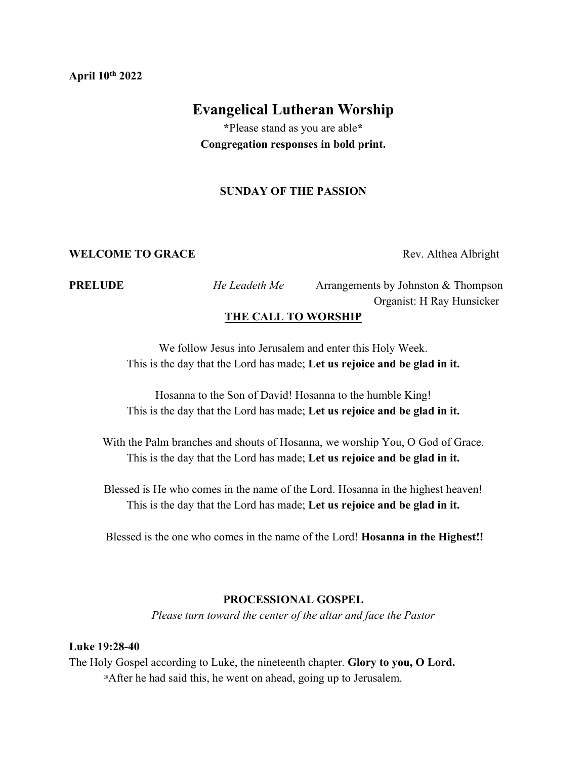#### **April 10th 2022**

# **Evangelical Lutheran Worship**

**\***Please stand as you are able**\* Congregation responses in bold print.**

## **SUNDAY OF THE PASSION**

#### **WELCOME TO GRACE** Rev. Althea Albright

**PRELUDE** *He Leadeth Me* Arrangements by Johnston & Thompson Organist: H Ray Hunsicker

# **THE CALL TO WORSHIP**

We follow Jesus into Jerusalem and enter this Holy Week. This is the day that the Lord has made; **Let us rejoice and be glad in it.**

Hosanna to the Son of David! Hosanna to the humble King! This is the day that the Lord has made; **Let us rejoice and be glad in it.**

With the Palm branches and shouts of Hosanna, we worship You, O God of Grace. This is the day that the Lord has made; **Let us rejoice and be glad in it.**

Blessed is He who comes in the name of the Lord. Hosanna in the highest heaven! This is the day that the Lord has made; **Let us rejoice and be glad in it.**

Blessed is the one who comes in the name of the Lord! **Hosanna in the Highest!!**

#### **PROCESSIONAL GOSPEL**

*Please turn toward the center of the altar and face the Pastor*

#### **Luke 19:28-40**

The Holy Gospel according to Luke, the nineteenth chapter. **Glory to you, O Lord.** <sup>28</sup>After he had said this, he went on ahead, going up to Jerusalem.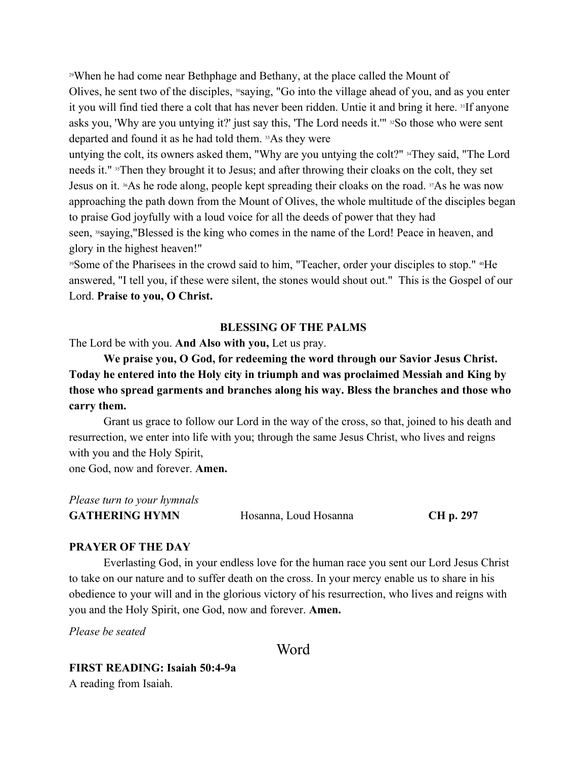<sup>29</sup>When he had come near Bethphage and Bethany, at the place called the Mount of Olives, he sent two of the disciples, <sup>30</sup>saying, "Go into the village ahead of you, and as you enter it you will find tied there a colt that has never been ridden. Untie it and bring it here. <sup>31</sup>If anyone asks you, 'Why are you untying it?' just say this, 'The Lord needs it.'" <sup>32</sup>So those who were sent departed and found it as he had told them. <sup>33</sup>As they were

untying the colt, its owners asked them, "Why are you untying the colt?" <sup>34</sup>They said, "The Lord needs it." <sup>35</sup>Then they brought it to Jesus; and after throwing their cloaks on the colt, they set Jesus on it. <sup>36</sup>As he rode along, people kept spreading their cloaks on the road. <sup>37</sup>As he was now approaching the path down from the Mount of Olives, the whole multitude of the disciples began to praise God joyfully with a loud voice for all the deeds of power that they had seen, <sup>38</sup>saying, "Blessed is the king who comes in the name of the Lord! Peace in heaven, and glory in the highest heaven!"

<sup>39</sup>Some of the Pharisees in the crowd said to him, "Teacher, order your disciples to stop." <sup>40</sup>He answered, "I tell you, if these were silent, the stones would shout out." This is the Gospel of our Lord. **Praise to you, O Christ.**

## **BLESSING OF THE PALMS**

The Lord be with you. **And Also with you,** Let us pray.

**We praise you, O God, for redeeming the word through our Savior Jesus Christ. Today he entered into the Holy city in triumph and was proclaimed Messiah and King by those who spread garments and branches along his way. Bless the branches and those who carry them.**

Grant us grace to follow our Lord in the way of the cross, so that, joined to his death and resurrection, we enter into life with you; through the same Jesus Christ, who lives and reigns with you and the Holy Spirit,

one God, now and forever. **Amen.**

| Please turn to your hymnals |                       |           |
|-----------------------------|-----------------------|-----------|
| <b>GATHERING HYMN</b>       | Hosanna, Loud Hosanna | CH p. 297 |

#### **PRAYER OF THE DAY**

Everlasting God, in your endless love for the human race you sent our Lord Jesus Christ to take on our nature and to suffer death on the cross. In your mercy enable us to share in his obedience to your will and in the glorious victory of his resurrection, who lives and reigns with you and the Holy Spirit, one God, now and forever. **Amen.**

*Please be seated*

Word

**FIRST READING: Isaiah 50:4-9a** 

A reading from Isaiah.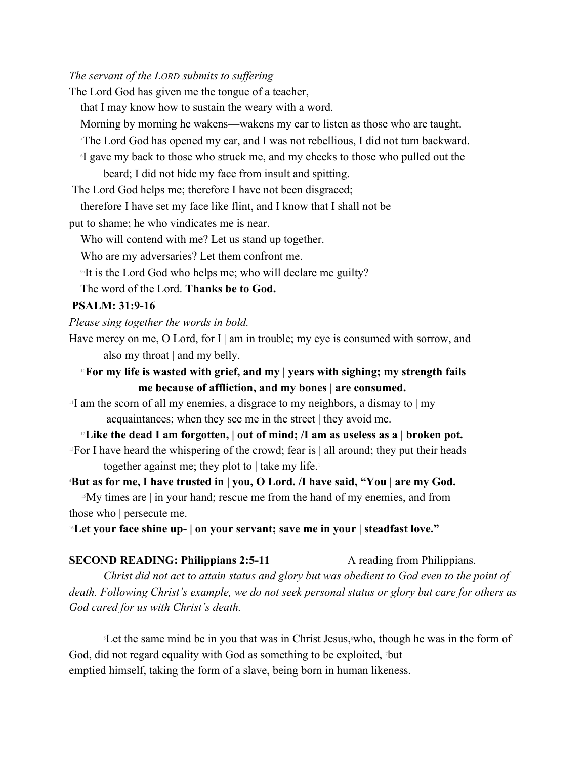## *The servant of the LORD submits to suffering*

The Lord God has given me the tongue of a teacher, that I may know how to sustain the weary with a word. Morning by morning he wakens—wakens my ear to listen as those who are taught. <sup>5</sup>The Lord God has opened my ear, and I was not rebellious, I did not turn backward. 6 I gave my back to those who struck me, and my cheeks to those who pulled out the beard; I did not hide my face from insult and spitting. The Lord God helps me; therefore I have not been disgraced; therefore I have set my face like flint, and I know that I shall not be put to shame; he who vindicates me is near. Who will contend with me? Let us stand up together. Who are my adversaries? Let them confront me. <sup>94</sup>It is the Lord God who helps me; who will declare me guilty? The word of the Lord. **Thanks be to God. PSALM: 31:9-16**  *Please sing together the words in bold.* Have mercy on me, O Lord, for I | am in trouble; my eye is consumed with sorrow, and also my throat | and my belly. <sup>10</sup>**For my life is wasted with grief, and my | years with sighing; my strength fails me because of affliction, and my bones | are consumed.**  $11$  am the scorn of all my enemies, a disgrace to my neighbors, a dismay to  $|my|$ acquaintances; when they see me in the street | they avoid me.

<sup>12</sup>**Like the dead I am forgotten, | out of mind; /I am as useless as a | broken pot.** <sup>13</sup>For I have heard the whispering of the crowd; fear is  $|$  all around; they put their heads together against me; they plot to  $\vert$  take my life.<sup>1</sup>

<sup>4</sup>**But as for me, I have trusted in | you, O Lord. /I have said, "You | are my God.**

 $15$ My times are | in your hand; rescue me from the hand of my enemies, and from those who | persecute me.

<sup>16</sup>**Let your face shine up- | on your servant; save me in your | steadfast love."**

**SECOND READING: Philippians 2:5-11** A reading from Philippians. *Christ did not act to attain status and glory but was obedient to God even to the point of death. Following Christ's example, we do not seek personal status or glory but care for others as God cared for us with Christ's death.*

<sup>5</sup>Let the same mind be in you that was in Christ Jesus,6who, though he was in the form of God, did not regard equality with God as something to be exploited, 7but emptied himself, taking the form of a slave, being born in human likeness.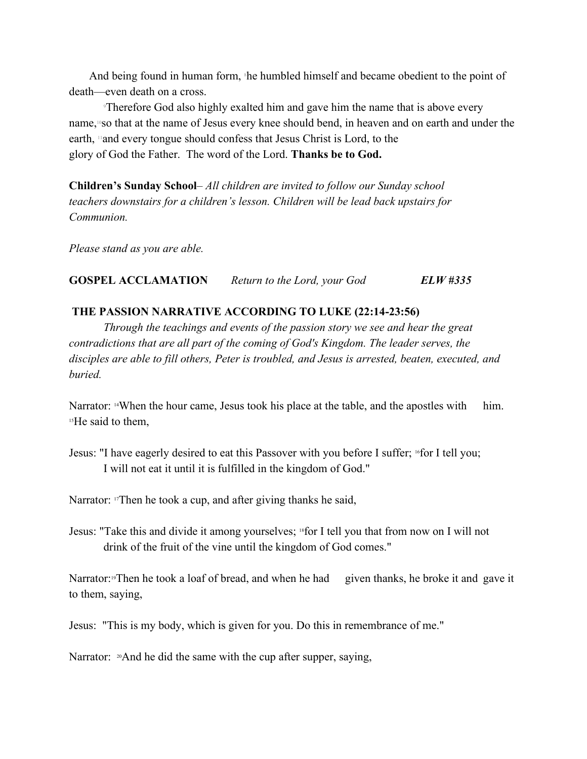And being found in human form, the humbled himself and became obedient to the point of death—even death on a cross.

<sup>9</sup>Therefore God also highly exalted him and gave him the name that is above every name,10so that at the name of Jesus every knee should bend, in heaven and on earth and under the earth, 11and every tongue should confess that Jesus Christ is Lord, to the glory of God the Father. The word of the Lord. **Thanks be to God.**

**Children's Sunday School**– *All children are invited to follow our Sunday school teachers downstairs for a children's lesson. Children will be lead back upstairs for Communion.*

*Please stand as you are able.*

## **GOSPEL ACCLAMATION** *Return to the Lord, your God ELW #335*

## **THE PASSION NARRATIVE ACCORDING TO LUKE (22:14-23:56)**

*Through the teachings and events of the passion story we see and hear the great contradictions that are all part of the coming of God's Kingdom. The leader serves, the disciples are able to fill others, Peter is troubled, and Jesus is arrested, beaten, executed, and buried.*

Narrator: <sup>14</sup>When the hour came, Jesus took his place at the table, and the apostles with him. <sup>15</sup>He said to them,

Jesus: "I have eagerly desired to eat this Passover with you before I suffer; <sup>16</sup>for I tell you; I will not eat it until it is fulfilled in the kingdom of God."

Narrator: <sup>17</sup>Then he took a cup, and after giving thanks he said,

Jesus: "Take this and divide it among yourselves; <sup>18</sup>for I tell you that from now on I will not drink of the fruit of the vine until the kingdom of God comes."

Narrator:<sup>19</sup>Then he took a loaf of bread, and when he had given thanks, he broke it and gave it to them, saying,

Jesus: "This is my body, which is given for you. Do this in remembrance of me."

Narrator: <sup>20</sup>And he did the same with the cup after supper, saying,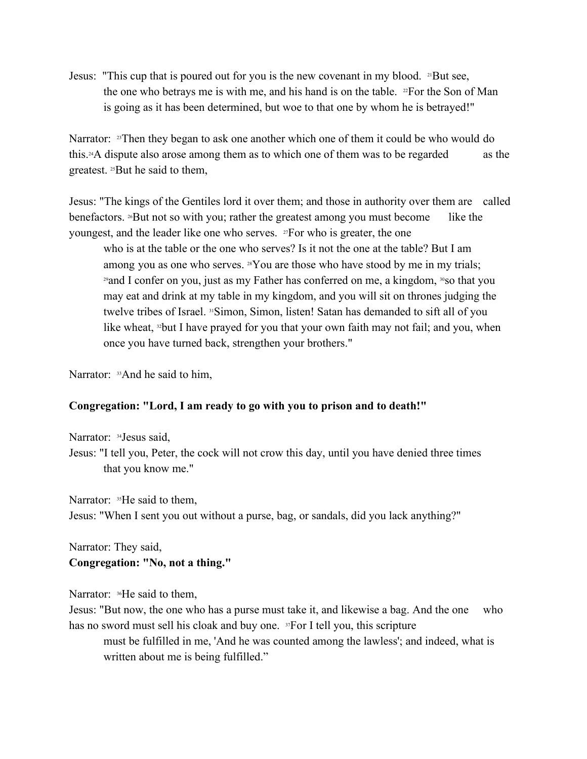Jesus: "This cup that is poured out for you is the new covenant in my blood. <sup>21</sup>But see, the one who betrays me is with me, and his hand is on the table.  $2F$  or the Son of Man is going as it has been determined, but woe to that one by whom he is betrayed!"

Narrator:  $\mathbb{F}^2$ Then they began to ask one another which one of them it could be who would do this.24A dispute also arose among them as to which one of them was to be regarded as the greatest. 25But he said to them,

Jesus: "The kings of the Gentiles lord it over them; and those in authority over them are called benefactors. 26But not so with you; rather the greatest among you must become like the youngest, and the leader like one who serves. <sup>27</sup>For who is greater, the one

who is at the table or the one who serves? Is it not the one at the table? But I am among you as one who serves.  $^{28}$ You are those who have stood by me in my trials; <sup>29</sup>and I confer on you, just as my Father has conferred on me, a kingdom, <sup>30</sup>so that you may eat and drink at my table in my kingdom, and you will sit on thrones judging the twelve tribes of Israel. 31Simon, Simon, listen! Satan has demanded to sift all of you like wheat, <sup>32</sup>but I have prayed for you that your own faith may not fail; and you, when once you have turned back, strengthen your brothers."

Narrator: <sup>33</sup>And he said to him,

## **Congregation: "Lord, I am ready to go with you to prison and to death!"**

Narrator: <sup>34</sup>Jesus said, Jesus: "I tell you, Peter, the cock will not crow this day, until you have denied three times that you know me."

Narrator: <sup>35</sup>He said to them, Jesus: "When I sent you out without a purse, bag, or sandals, did you lack anything?"

Narrator: They said, **Congregation: "No, not a thing."**

Narrator: <sup>36</sup>He said to them,

Jesus: "But now, the one who has a purse must take it, and likewise a bag. And the one who has no sword must sell his cloak and buy one. 37For I tell you, this scripture

must be fulfilled in me, 'And he was counted among the lawless'; and indeed, what is written about me is being fulfilled."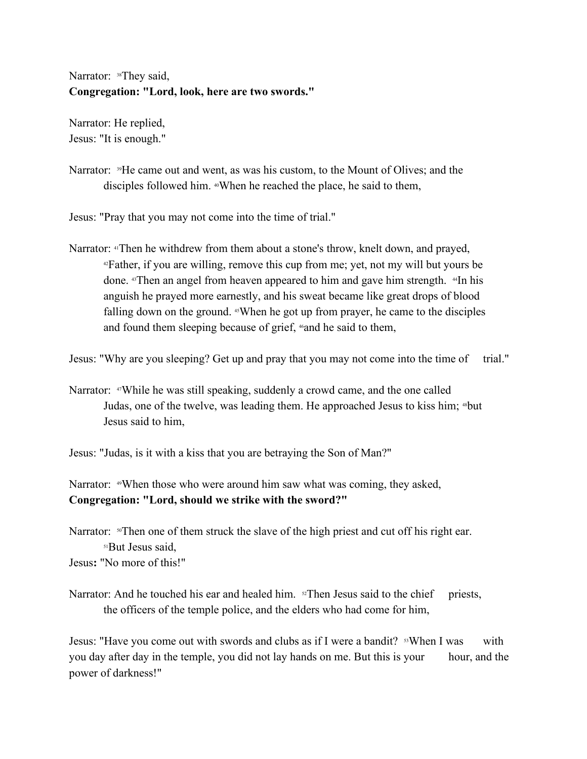Narrator: <sup>38</sup>They said, **Congregation: "Lord, look, here are two swords."** 

Narrator: He replied, Jesus: "It is enough."

Narrator: <sup>39</sup>He came out and went, as was his custom, to the Mount of Olives; and the disciples followed him. 40When he reached the place, he said to them,

Jesus: "Pray that you may not come into the time of trial."

Narrator: 41Then he withdrew from them about a stone's throw, knelt down, and prayed, <sup>42</sup>Father, if you are willing, remove this cup from me; yet, not my will but yours be done.  $4$ Then an angel from heaven appeared to him and gave him strength.  $4$ In his anguish he prayed more earnestly, and his sweat became like great drops of blood falling down on the ground. 45When he got up from prayer, he came to the disciples and found them sleeping because of grief, <sup>46</sup>and he said to them,

Jesus: "Why are you sleeping? Get up and pray that you may not come into the time of trial."

Narrator: <sup>47</sup>While he was still speaking, suddenly a crowd came, and the one called Judas, one of the twelve, was leading them. He approached Jesus to kiss him; <sup>48</sup>but Jesus said to him,

Jesus: "Judas, is it with a kiss that you are betraying the Son of Man?"

Narrator: <sup>49</sup>When those who were around him saw what was coming, they asked, **Congregation: "Lord, should we strike with the sword?"** 

Narrator:  $\sqrt[50]{}$ Then one of them struck the slave of the high priest and cut off his right ear. <sup>51</sup>But Jesus said, Jesus**:** "No more of this!"

Narrator: And he touched his ear and healed him. <sup>52</sup>Then Jesus said to the chief priests, the officers of the temple police, and the elders who had come for him,

Jesus: "Have you come out with swords and clubs as if I were a bandit?  $\sqrt[3]{\text{68W}}$  When I was with you day after day in the temple, you did not lay hands on me. But this is your hour, and the power of darkness!"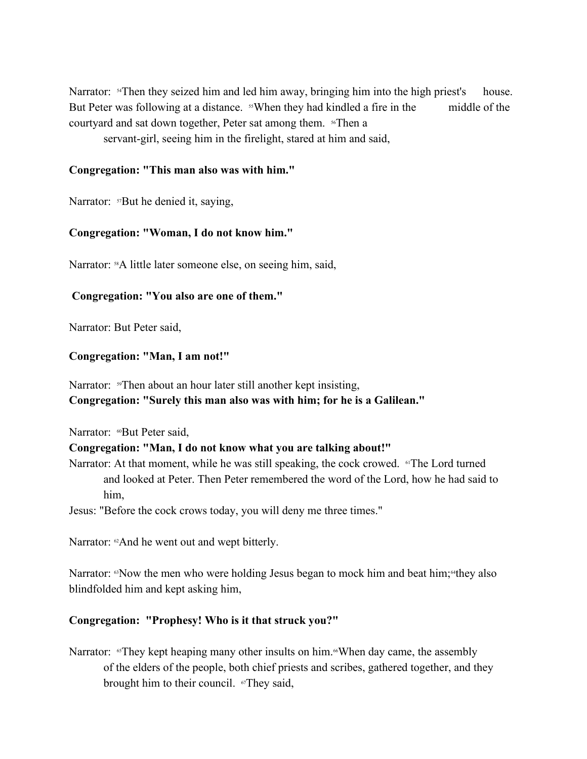Narrator: <sup>54</sup>Then they seized him and led him away, bringing him into the high priest's house. But Peter was following at a distance. <sup>55</sup>When they had kindled a fire in the middle of the courtyard and sat down together, Peter sat among them. 56Then a

servant-girl, seeing him in the firelight, stared at him and said,

## **Congregation: "This man also was with him."**

Narrator: <sup>57</sup>But he denied it, saying,

# **Congregation: "Woman, I do not know him."**

Narrator: <sup>58</sup>A little later someone else, on seeing him, said,

# **Congregation: "You also are one of them."**

Narrator: But Peter said,

## **Congregation: "Man, I am not!"**

Narrator: <sup>59</sup>Then about an hour later still another kept insisting, **Congregation: "Surely this man also was with him; for he is a Galilean."** 

Narrator: 60But Peter said,

## **Congregation: "Man, I do not know what you are talking about!"**

Narrator: At that moment, while he was still speaking, the cock crowed. <sup>61</sup>The Lord turned and looked at Peter. Then Peter remembered the word of the Lord, how he had said to him,

Jesus: "Before the cock crows today, you will deny me three times."

Narrator: <sup>62</sup>And he went out and wept bitterly.

Narrator:  $\mathcal{R}^{\otimes n}$  Now the men who were holding Jesus began to mock him and beat him; $\mathcal{R}^{\otimes n}$  also blindfolded him and kept asking him,

# **Congregation: "Prophesy! Who is it that struck you?"**

Narrator: <sup>65</sup>They kept heaping many other insults on him.<sup>66</sup>When day came, the assembly of the elders of the people, both chief priests and scribes, gathered together, and they brought him to their council. <sup>67</sup>They said,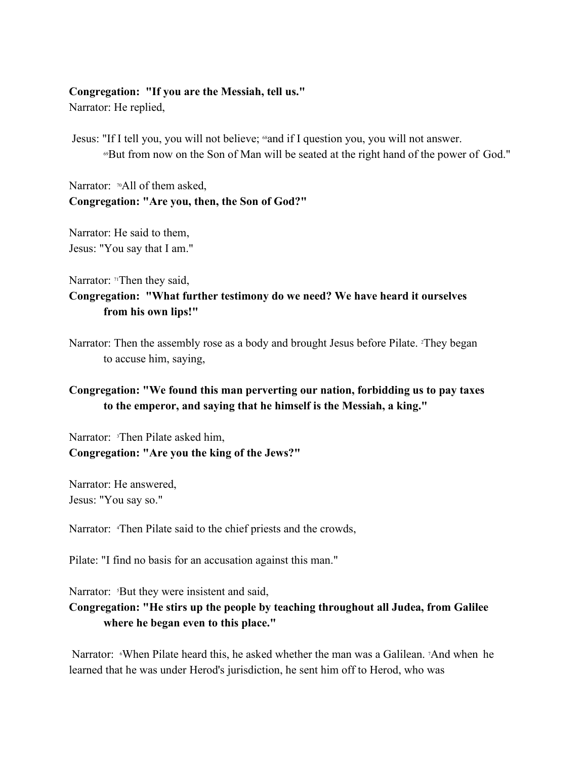## **Congregation: "If you are the Messiah, tell us."**

Narrator: He replied,

Jesus: "If I tell you, you will not believe; 68and if I question you, you will not answer. <sup>69</sup>But from now on the Son of Man will be seated at the right hand of the power of God."

Narrator: <sup>70</sup>All of them asked, **Congregation: "Are you, then, the Son of God?"** 

Narrator: He said to them, Jesus: "You say that I am."

Narrator:  $\pi$ Then they said, **Congregation: "What further testimony do we need? We have heard it ourselves from his own lips!"**

Narrator: Then the assembly rose as a body and brought Jesus before Pilate. <sup>2</sup>They began to accuse him, saying,

# **Congregation: "We found this man perverting our nation, forbidding us to pay taxes to the emperor, and saying that he himself is the Messiah, a king."**

Narrator: <sup>3</sup>Then Pilate asked him, **Congregation: "Are you the king of the Jews?"** 

Narrator: He answered, Jesus: "You say so."

Narrator: 4Then Pilate said to the chief priests and the crowds,

Pilate: "I find no basis for an accusation against this man."

Narrator: <sup>5</sup>But they were insistent and said,

# **Congregation: "He stirs up the people by teaching throughout all Judea, from Galilee where he began even to this place."**

Narrator: When Pilate heard this, he asked whether the man was a Galilean. And when he learned that he was under Herod's jurisdiction, he sent him off to Herod, who was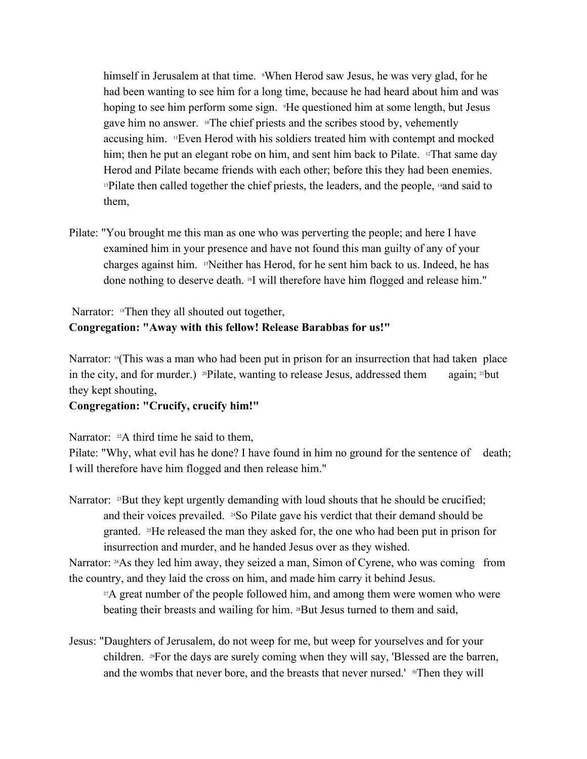himself in Jerusalem at that time. <sup>8</sup>When Herod saw Jesus, he was very glad, for he had been wanting to see him for a long time, because he had heard about him and was hoping to see him perform some sign. <sup>9</sup>He questioned him at some length, but Jesus gave him no answer. 10The chief priests and the scribes stood by, vehemently accusing him. 11Even Herod with his soldiers treated him with contempt and mocked him; then he put an elegant robe on him, and sent him back to Pilate. <sup>12</sup>That same day Herod and Pilate became friends with each other; before this they had been enemies. <sup>13</sup>Pilate then called together the chief priests, the leaders, and the people, <sup>14</sup>and said to them,

Pilate: "You brought me this man as one who was perverting the people; and here I have examined him in your presence and have not found this man guilty of any of your charges against him. 15Neither has Herod, for he sent him back to us. Indeed, he has done nothing to deserve death. 16I will therefore have him flogged and release him."

# Narrator: <sup>18</sup>Then they all shouted out together, **Congregation: "Away with this fellow! Release Barabbas for us!"**

Narrator:  $\mathbb{P}(\text{This was a man who had been put in prison for an instruction that had taken place})$ in the city, and for murder.) <sup>20</sup>Pilate, wanting to release Jesus, addressed them again; <sup>21</sup>but they kept shouting,

# **Congregation: "Crucify, crucify him!"**

Narrator:  $22A$  third time he said to them,

Pilate: "Why, what evil has he done? I have found in him no ground for the sentence of death; I will therefore have him flogged and then release him."

Narrator: <sup>23</sup>But they kept urgently demanding with loud shouts that he should be crucified; and their voices prevailed. <sup>24</sup>So Pilate gave his verdict that their demand should be granted. 25He released the man they asked for, the one who had been put in prison for insurrection and murder, and he handed Jesus over as they wished.

Narrator: <sup>26</sup>As they led him away, they seized a man, Simon of Cyrene, who was coming from the country, and they laid the cross on him, and made him carry it behind Jesus.

 $27A$  great number of the people followed him, and among them were women who were beating their breasts and wailing for him. <sup>28</sup>But Jesus turned to them and said,

Jesus: "Daughters of Jerusalem, do not weep for me, but weep for yourselves and for your children. 29For the days are surely coming when they will say, 'Blessed are the barren, and the wombs that never bore, and the breasts that never nursed.' <sup>30</sup>Then they will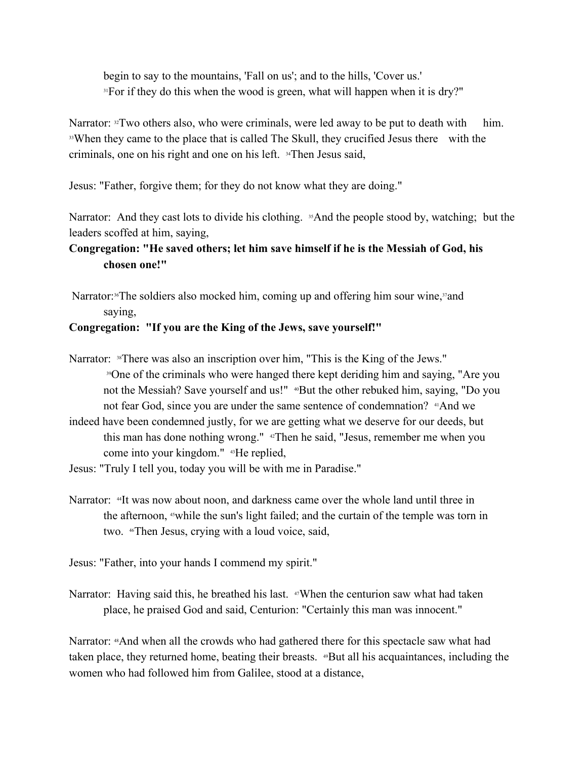begin to say to the mountains, 'Fall on us'; and to the hills, 'Cover us.' <sup>31</sup>For if they do this when the wood is green, what will happen when it is dry?"

Narrator:  $\mathbb{R}^2$  Two others also, who were criminals, were led away to be put to death with him. <sup>33</sup>When they came to the place that is called The Skull, they crucified Jesus there with the criminals, one on his right and one on his left. 34Then Jesus said,

Jesus: "Father, forgive them; for they do not know what they are doing."

Narrator: And they cast lots to divide his clothing. <sup>35</sup>And the people stood by, watching; but the leaders scoffed at him, saying,

# **Congregation: "He saved others; let him save himself if he is the Messiah of God, his chosen one!"**

Narrator:<sup>36</sup>The soldiers also mocked him, coming up and offering him sour wine,<sup>37</sup> and saying,

# **Congregation: "If you are the King of the Jews, save yourself!"**

- Narrator: <sup>38</sup>There was also an inscription over him, "This is the King of the Jews." <sup>39</sup>One of the criminals who were hanged there kept deriding him and saying, "Are you not the Messiah? Save yourself and us!" <sup>40</sup>But the other rebuked him, saying, "Do you not fear God, since you are under the same sentence of condemnation? <sup>41</sup>And we
- indeed have been condemned justly, for we are getting what we deserve for our deeds, but this man has done nothing wrong." <sup>42</sup>Then he said, "Jesus, remember me when you come into your kingdom." 43He replied,
- Jesus: "Truly I tell you, today you will be with me in Paradise."
- Narrator: <sup>41</sup>It was now about noon, and darkness came over the whole land until three in the afternoon,  $\omega$  while the sun's light failed; and the curtain of the temple was torn in two. 46Then Jesus, crying with a loud voice, said,
- Jesus: "Father, into your hands I commend my spirit."
- Narrator: Having said this, he breathed his last. <sup>47</sup>When the centurion saw what had taken place, he praised God and said, Centurion: "Certainly this man was innocent."

Narrator: <sup>48</sup>And when all the crowds who had gathered there for this spectacle saw what had taken place, they returned home, beating their breasts. 49But all his acquaintances, including the women who had followed him from Galilee, stood at a distance,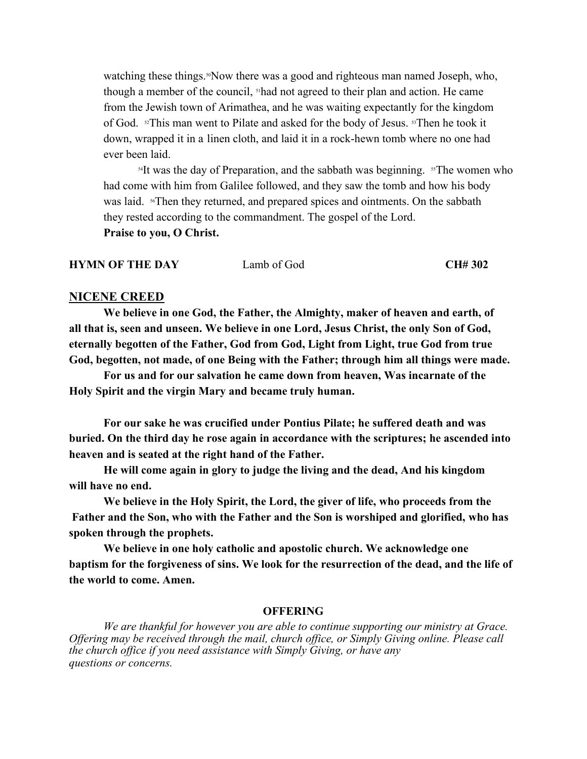watching these things.<sup>50</sup>Now there was a good and righteous man named Joseph, who, though a member of the council, 51had not agreed to their plan and action. He came from the Jewish town of Arimathea, and he was waiting expectantly for the kingdom of God. 52This man went to Pilate and asked for the body of Jesus. 53Then he took it down, wrapped it in a linen cloth, and laid it in a rock-hewn tomb where no one had ever been laid.

 $14$ It was the day of Preparation, and the sabbath was beginning.  $15$ The women who had come with him from Galilee followed, and they saw the tomb and how his body was laid. <sup>56</sup>Then they returned, and prepared spices and ointments. On the sabbath they rested according to the commandment. The gospel of the Lord. **Praise to you, O Christ.** 

**HYMN OF THE DAY** Lamb of God **CH# 302** 

#### **NICENE CREED**

**We believe in one God, the Father, the Almighty, maker of heaven and earth, of all that is, seen and unseen. We believe in one Lord, Jesus Christ, the only Son of God, eternally begotten of the Father, God from God, Light from Light, true God from true God, begotten, not made, of one Being with the Father; through him all things were made.**

**For us and for our salvation he came down from heaven, Was incarnate of the Holy Spirit and the virgin Mary and became truly human.**

**For our sake he was crucified under Pontius Pilate; he suffered death and was buried. On the third day he rose again in accordance with the scriptures; he ascended into heaven and is seated at the right hand of the Father.**

**He will come again in glory to judge the living and the dead, And his kingdom will have no end.**

**We believe in the Holy Spirit, the Lord, the giver of life, who proceeds from the Father and the Son, who with the Father and the Son is worshiped and glorified, who has spoken through the prophets.**

**We believe in one holy catholic and apostolic church. We acknowledge one baptism for the forgiveness of sins. We look for the resurrection of the dead, and the life of the world to come. Amen.**

## **OFFERING**

*We are thankful for however you are able to continue supporting our ministry at Grace. Offering may be received through the mail, church office, or Simply Giving online. Please call the church office if you need assistance with Simply Giving, or have any questions or concerns.*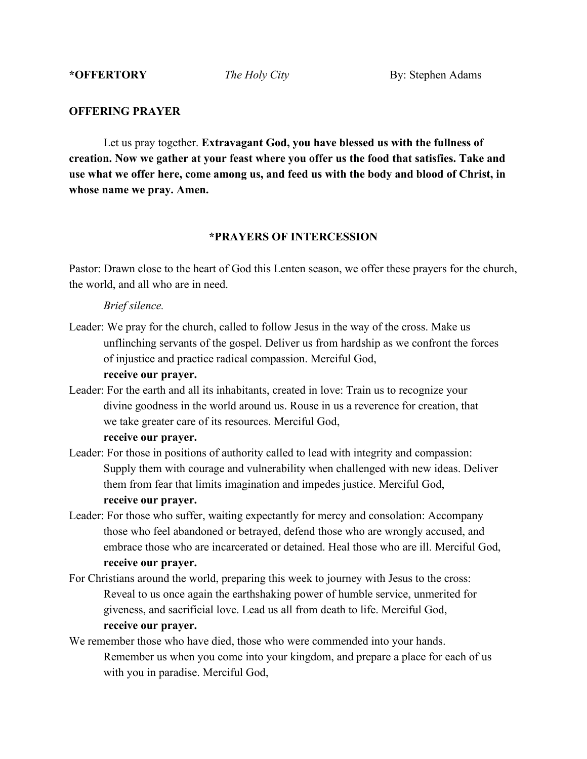\*OFFERTORY *The Holy City* By: Stephen Adams

#### **OFFERING PRAYER**

Let us pray together. **Extravagant God, you have blessed us with the fullness of creation. Now we gather at your feast where you offer us the food that satisfies. Take and use what we offer here, come among us, and feed us with the body and blood of Christ, in whose name we pray. Amen.**

## **\*PRAYERS OF INTERCESSION**

Pastor: Drawn close to the heart of God this Lenten season, we offer these prayers for the church, the world, and all who are in need.

#### *Brief silence.*

Leader: We pray for the church, called to follow Jesus in the way of the cross. Make us unflinching servants of the gospel. Deliver us from hardship as we confront the forces of injustice and practice radical compassion. Merciful God,

## **receive our prayer.**

Leader: For the earth and all its inhabitants, created in love: Train us to recognize your divine goodness in the world around us. Rouse in us a reverence for creation, that we take greater care of its resources. Merciful God,

#### **receive our prayer.**

- Leader: For those in positions of authority called to lead with integrity and compassion: Supply them with courage and vulnerability when challenged with new ideas. Deliver them from fear that limits imagination and impedes justice. Merciful God, **receive our prayer.**
- Leader: For those who suffer, waiting expectantly for mercy and consolation: Accompany those who feel abandoned or betrayed, defend those who are wrongly accused, and embrace those who are incarcerated or detained. Heal those who are ill. Merciful God, **receive our prayer.**
- For Christians around the world, preparing this week to journey with Jesus to the cross: Reveal to us once again the earthshaking power of humble service, unmerited for giveness, and sacrificial love. Lead us all from death to life. Merciful God, **receive our prayer.**
- We remember those who have died, those who were commended into your hands. Remember us when you come into your kingdom, and prepare a place for each of us with you in paradise. Merciful God,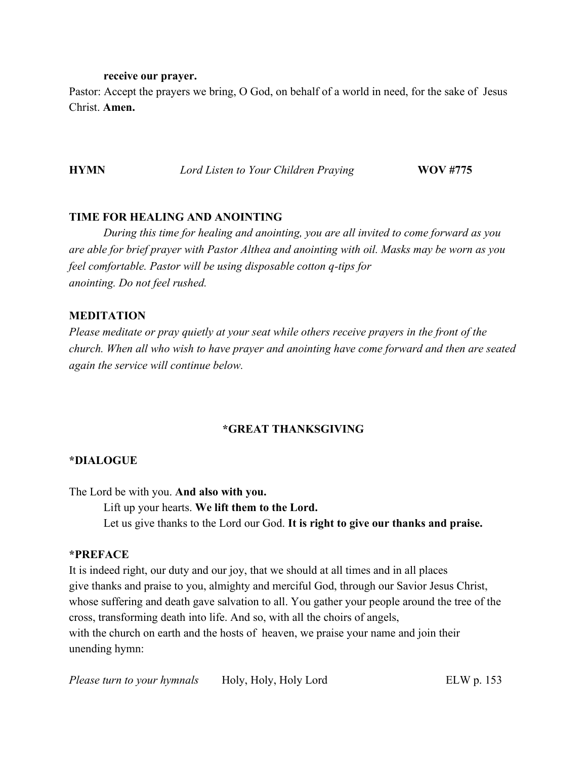#### **receive our prayer.**

Pastor: Accept the prayers we bring, O God, on behalf of a world in need, for the sake of Jesus Christ. **Amen.**

**HYMN** *<i>Lord Listen to Your Children Praying* **WOV #775** 

# **TIME FOR HEALING AND ANOINTING**

*During this time for healing and anointing, you are all invited to come forward as you are able for brief prayer with Pastor Althea and anointing with oil. Masks may be worn as you feel comfortable. Pastor will be using disposable cotton q-tips for anointing. Do not feel rushed.* 

# **MEDITATION**

*Please meditate or pray quietly at your seat while others receive prayers in the front of the church. When all who wish to have prayer and anointing have come forward and then are seated again the service will continue below.*

# **\*GREAT THANKSGIVING**

# **\*DIALOGUE**

The Lord be with you. **And also with you.** 

Lift up your hearts. **We lift them to the Lord.** 

Let us give thanks to the Lord our God. **It is right to give our thanks and praise.**

# **\*PREFACE**

It is indeed right, our duty and our joy, that we should at all times and in all places give thanks and praise to you, almighty and merciful God, through our Savior Jesus Christ, whose suffering and death gave salvation to all. You gather your people around the tree of the cross, transforming death into life. And so, with all the choirs of angels, with the church on earth and the hosts of heaven, we praise your name and join their unending hymn: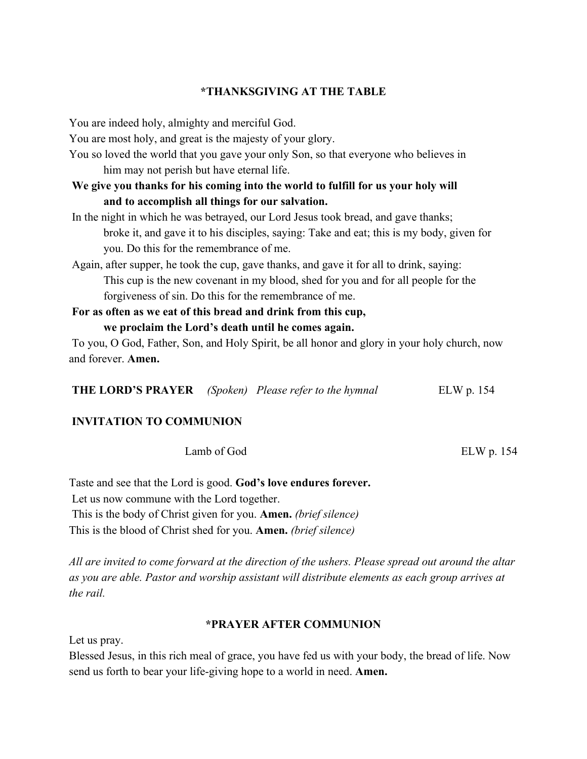## **\*THANKSGIVING AT THE TABLE**

You are indeed holy, almighty and merciful God.

You are most holy, and great is the majesty of your glory.

You so loved the world that you gave your only Son, so that everyone who believes in him may not perish but have eternal life.

**We give you thanks for his coming into the world to fulfill for us your holy will and to accomplish all things for our salvation.**

In the night in which he was betrayed, our Lord Jesus took bread, and gave thanks; broke it, and gave it to his disciples, saying: Take and eat; this is my body, given for you. Do this for the remembrance of me.

Again, after supper, he took the cup, gave thanks, and gave it for all to drink, saying: This cup is the new covenant in my blood, shed for you and for all people for the forgiveness of sin. Do this for the remembrance of me.

**For as often as we eat of this bread and drink from this cup, we proclaim the Lord's death until he comes again.**

To you, O God, Father, Son, and Holy Spirit, be all honor and glory in your holy church, now and forever. **Amen.**

| <b>THE LORD'S PRAYER</b> (Spoken) Please refer to the hymnal | ELW p. 154 |
|--------------------------------------------------------------|------------|
|--------------------------------------------------------------|------------|

## **INVITATION TO COMMUNION**

Lamb of God ELW p. 154

Taste and see that the Lord is good. **God's love endures forever.** Let us now commune with the Lord together. This is the body of Christ given for you. **Amen.** *(brief silence)*  This is the blood of Christ shed for you. **Amen.** *(brief silence)* 

*All are invited to come forward at the direction of the ushers. Please spread out around the altar as you are able. Pastor and worship assistant will distribute elements as each group arrives at the rail.*

## **\*PRAYER AFTER COMMUNION**

Let us pray.

Blessed Jesus, in this rich meal of grace, you have fed us with your body, the bread of life. Now send us forth to bear your life-giving hope to a world in need. **Amen.**